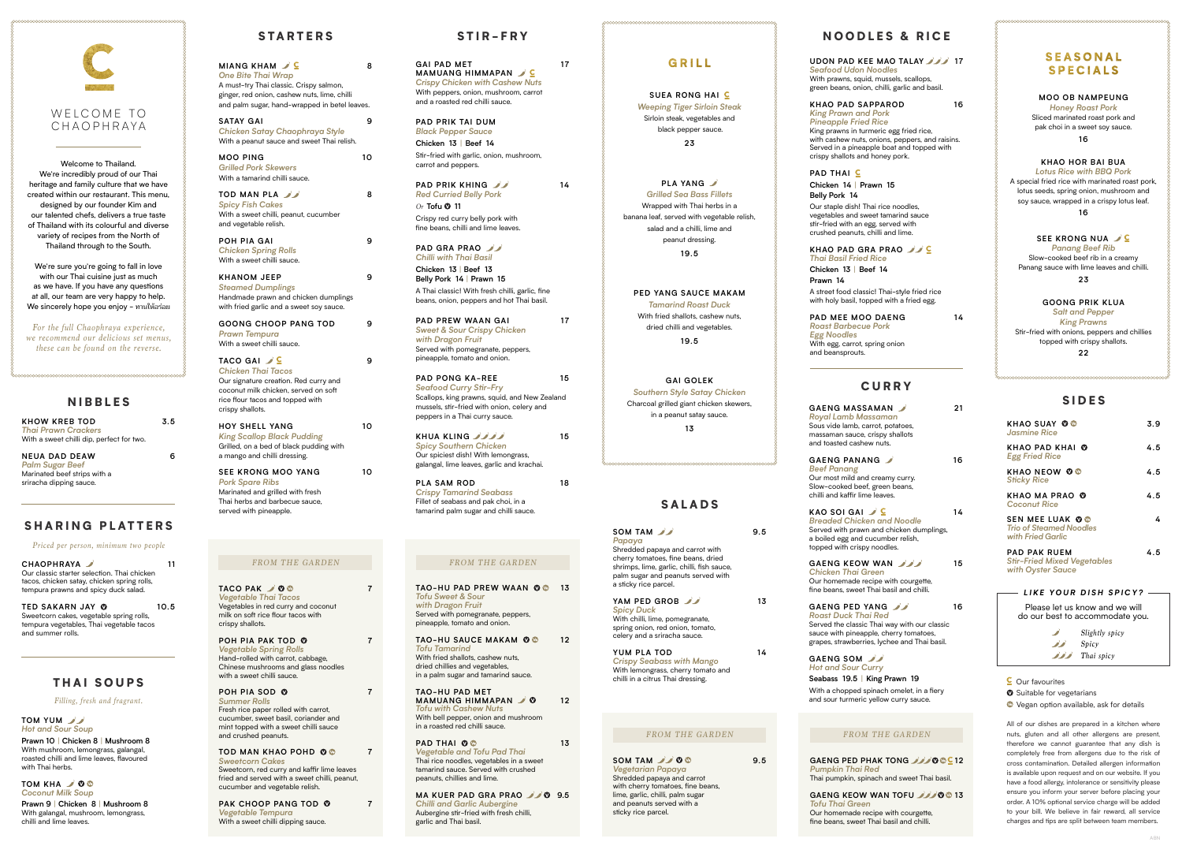*Seafood Udon Noodles*

green beans, onion, chilli, garlic and basil.

## **KHAO PAD SAPPAROD 16** King prawns in turmeric egg fried rice, with cashew nuts, onions, peppers, and raisins. Served in a pineapple boat and topped with

# **KHAO PAD GRA PRAO**

with holy basil, topped with a fried egg.

# **CURRY**

*King Prawn and Pork Pineapple Fried Rice* crispy shallots and honey pork.

**PAD THAI**  $\subseteq$ **Chicken 14** | **Prawn 15 Belly Pork 14** Our staple dish! Thai rice noodles, vegetables and sweet tamarind sauce stir-fried with an egg, served with crushed peanuts, chilli and lime.

*Thai Basil Fried Rice* **Chicken 13** | **Beef 14 Prawn 14** A street food classic! Thai-style fried rice

**PAD MEE MOO DAENG 14** *Roast Barbecue Pork Egg Noodles* With egg, carrot, spring onion and beansprouts.

```
GAENG MASS
Royal Lamb M
Sous vide lamb,
massaman sauce
```

```
KAO SOI GAI
Breaded Chic
Served with pray
a boiled egg and
topped with crist
```
**TACO PAK** *2* **0 8 7** *Vegetable Thai Tacos*  Vegetables in red curry and coconut milk on soft rice flour tacos with crispy shallots.



Welcome to Thailand. We're incredibly proud of our Thai heritage and family culture that we have created within our restaurant. This menu, designed by our founder Kim and our talented chefs, delivers a true taste of Thailand with its colourful and diverse variety of recipes from the North of Thailand through to the South.

> **TAO-HU PAD PREW WAAN 00 13** *Tofu Sweet & Sour with Dragon Fruit* Served with pomegranate, peppers, pineapple, tomato and onion.

> **TAO-HU SAUCE MAKAM © © 12** *Tofu Tamarind* With fried shallots, cashew nuts, dried chillies and vegetables, in a palm sugar and tamarind sauce.

We're sure you're going to fall in love with our Thai cuisine just as much as we have. If you have any questions at all, our team are very happy to help. We sincerely hope you enjoy - ทานให้้อร่่อย

> **PAD THAI**  $\bullet$   $\bullet$  13 *Vegetable and Tofu Pad Thai* Thai rice noodles, vegetables in a sweet tamarind sauce. Served with crushed peanuts, chillies and lime.

*For the full Chaophraya experience, we recommend our delicious set menus, these can be found on the reverse.*

> **POH PIA PAK TOD 7** *Vegetable Spring Rolls* Hand-rolled with carrot, cabbage, Chinese mushrooms and glass noodles with a sweet chilli sauce.

#### **POH PIA SOD 7**

*Summer Rolls* Fresh rice paper rolled with carrot, cucumber, sweet basil, coriander and mint topped with a sweet chilli sauce and crushed peanuts.

**TOD MAN KHAO POHD 7** *Sweetcorn Cakes* Sweetcorn, red curry and kaffir lime leaves fried and served with a sweet chilli, peanut, cucumber and vegetable relish.

**PAK CHOOP PANG TOD 7** *Vegetable Tempura* With a sweet chilli dipping sauce.

**SOM TAM 9.5** *Vegetarian Papaya* Shredded papaya and carrot with cherry tomatoes, fine beans, lime, garlic, chilli, palm sugar and peanuts served with a sticky rice parcel.

#### *FROM THE GARDEN FROM THE GARDEN*

**SOM TAM 9.5** *Papaya* Shredded papaya and carrot with cherry tomatoes, fine beans, dried shrimps, lime, garlic, chilli, fish sauce, palm sugar and peanuts served with a sticky rice parcel. **YAM PED GROB 13**

**TAO-HU PAD MET MAMUANG HIMMAPAN 0** 12 *Tofu with Cashew Nuts* With bell pepper, onion and mushroom in a roasted red chilli sauce.

GAI PAD MET 17 **MAMUANG HIMMAPAN** *Crispy Chicken with Cashew Nuts* With peppers, onion, mushroom, carrot and a roasted red chilli sauce.

**PAD PRIK KHING 14** *Red Curried Belly Pork* 

**MA KUER PAD GRA PRAO 9.5** *Chilli and Garlic Aubergine* Aubergine stir-fried with fresh chilli, garlic and Thai basil.

# GRILL

*Or* **Tofu <sup>0</sup> 11** Crispy red curry belly pork with fine beans, chilli and lime leaves.

**PAD GRA PRAO** *Chilli with Thai Basil*  **Chicken 13** | **Beef 13**

# SIDES

| <b>KHAO SUAY OO</b><br><b>Jasmine Rice</b>                                     | 3.9 |
|--------------------------------------------------------------------------------|-----|
| <b>KHAO PAD KHAI W</b><br><b>Egg Fried Rice</b>                                | 4.5 |
| <b>KHAO NEOW OG</b><br><b>Sticky Rice</b>                                      | 4.5 |
| <b>KHAO MA PRAO O</b><br><b>Coconut Rice</b>                                   | 4.5 |
| <b>SEN MEE LUAK OO</b><br><b>Trio of Steamed Noodles</b><br>with Fried Garlic  | 4   |
| <b>PAD PAK RUEM</b><br><b>Stir-Fried Mixed Vegetables</b><br>with Oyster Sauce | 4.5 |

**KHUA KLING 15** *Spicy Southern Chicken* Our spiciest dish! With lemongrass, galangal, lime leaves, garlic and krachai.

#### **MOO OB NAMPEUNG**

*Honey Roast Pork* Sliced marinated roast pork and pak choi in a sweet soy sauce. **16**

**KHAO HOR BAI BUA**

**SATAY GAI 9** *Chicken Satay Chaophraya Style* With a peanut sauce and sweet Thai relish

> *Lotus Rice with BBQ Pork* A special fried rice with marinated roast pork, lotus seeds, spring onion, mushroom and soy sauce, wrapped in a crispy lotus leaf. **16**

#### **SEE KRONG NUA**  $\angle$  C

**TOD MAN PLA 8** *Spicy Fish Cakes*  With a sweet chilli, peanut, cucumber and vegetable relish.

> *Panang Beef Rib* Slow-cooked beef rib in a creamy Panang sauce with lime leaves and chilli. **23**

#### **GOONG PRIK KLUA**

*Salt and Pepper King Prawns*

 $TACO GAI \tJ C$  9 *Chicken Thai Tacos* Our signature creation. Red curry and coconut milk chicken, served on soft rice flour tacos and topped with crispy shallots.

Stir-fried with onions, peppers and chillies topped with crispy shallots.

**22**

**SUEA RONG HAI** *Weeping Tiger Sirloin Steak*  Sirloin steak, vegetables and black pepper sauce. **23**

## **GAENG PED PHAK TONG 12O 0C** 12 Thai pumpkin, spinach and sweet Thai basil.

**GAENG KEOW WAN TOFU 33** Our homemade recipe with courgette.

**PLA YANG** *Grilled Sea Bass Fillets* Wrapped with Thai herbs in a banana leaf, served with vegetable relish, salad and a chilli, lime and peanut dressing. **19.5**

**PED YANG SAUCE MAKAM** *Tamarind Roast Duck* With fried shallots, cashew nuts, dried chilli and vegetables. **19.5**

**GAI GOLEK** *Southern Style Satay Chicken* Charcoal grilled giant chicken skewers, in a peanut satay sauce. **13**

> **GAENG KEOW** *Chicken Thai Green* Our homemade recipe with courgette, fine beans, sweet Thai basil and chilli.

**GAENG PED YANG 16** *Roast Duck Thai Red* Served the classic Thai way with our classic sauce with pineapple, cherry tomatoes, grapes, strawberries, lychee and Thai basil.

**GAENG SOM** *Hot and Sour Curry* **Seabass 19.5** | **King Prawn 19** With a chopped spinach omelet, in a fiery and sour turmeric yellow curry sauce.

### SALADS

*Spicy Duck* With chilli, lime, pomegranate, spring onion, red onion, tomato, celery and a sriracha sauce.

 *Slightly spicy Spicy <i><u>D</u> Thai spicy* 

 $C$  Our favourites

**O** Suitable for vegetarians

**YUM PLA TOD 14** *Crispy Seabass with Mango* With lemongrass, cherry tomato and chilli in a citrus Thai dressing.

**TOM KHA** 300 *Coconut Milk Soup*

## NIBBLES

**KHOW KREB TOD 3.5** *Thai Prawn Crackers* With a sweet chilli dip, perfect for two.

**NEUA DAD DEAW 6** *Palm Sugar Beef* Marinated beef strips with a sriracha dipping sauce.

### SHARING PLATTERS

**CHAOPHRAYA 11** Our classic starter selection. Thai chicken tacos, chicken satay, chicken spring rolls tempura prawns and spicy duck salad.

**TED SAKARN JAY 10.5** Sweetcorn cakes, vegetable spring rolls, tempura vegetables, Thai vegetable tacos and summer rolls.

*Priced per person, minimum two people*

#### STIR-FRY

**PAD PRIK TAI DUM** *Black Pepper Sauce*  **Chicken 13** | **Beef 14** 

Stir-fried with garlic, onion, mushroom, carrot and peppers.

**Belly Pork 14** | **Prawn 15** A Thai classic! With fresh chilli, garlic, fine beans, onion, peppers and hot Thai basil.

**PAD PREW WAAN GAI 17** *Sweet & Sour Crispy Chicken with Dragon Fruit* Served with pomegranate, peppers, pineapple, tomato and onion. **PAD PONG KA-REE 15**

*Seafood Curry Stir-Fry* Scallops, king prawns, squid, and New Zealand mussels, stir-fried with onion, celery and peppers in a Thai curry sauce.

**PLA SAM ROD 18** *Crispy Tamarind Seabass* Fillet of seabass and pak choi, in a tamarind palm sugar and chilli sauce.

# STARTERS

| MIANG KHAM JC                                 | 8 |
|-----------------------------------------------|---|
| One Bite Thai Wrap                            |   |
| A must-try Thai classic. Crispy salmon,       |   |
| ginger, red onion, cashew nuts, lime, chilli  |   |
| and palm sugar, hand-wrapped in betel leaves. |   |
|                                               |   |

**MOO PING 10** *Grilled Pork Skewers* With a tamarind chilli sauce.

**POH PIA GAI 9** *Chicken Spring Rolls*  With a sweet chilli sauce.

**KHANOM JEEP 9** *Steamed Dumplings* Handmade prawn and chicken dumplings with fried garlic and a sweet soy sauce.

**GOONG CHOOP PANG TOD 9** *Prawn Tempura* With a sweet chilli sauce.

**HOY SHELL YANG 10** *King Scallop Black Pudding* Grilled, on a bed of black pudding with a mango and chilli dressing.

served with pineapple.

SEE KRONG MOO YANG 10 *Pork Spare Ribs* Marinated and grilled with fresh Thai herbs and barbecue sauce

*Pumpkin Thai Red* 

*Tofu Thai Green*

fine beans, sweet Thai basil and chilli.

# **SEASONAL SPECIALS**

| GAENG MASSAMAN<br>Royal Lamb Massaman<br>Sous vide lamb, carrot, potatoes,<br>massaman sauce, crispy shallots<br>and toasted cashew nuts.                           | 21 |
|---------------------------------------------------------------------------------------------------------------------------------------------------------------------|----|
| GAENG PANANG<br><b>Beef Panang</b><br>Our most mild and creamy curry.<br>Slow-cooked beef, green beans,<br>chilli and kaffir lime leaves.                           | 16 |
| KAO SOI GAI ノ⊆<br><b>Breaded Chicken and Noodle</b><br>Served with prawn and chicken dumplings,<br>a boiled egg and cucumber relish,<br>topped with crispy noodles. | 14 |
| GAENG KEOW WAN<br>ヘレミュレー・エレー・ピー                                                                                                                                     | 15 |

All of our dishes are prepared in a kitchen where nuts, gluten and all other allergens are present, therefore we cannot guarantee that any dish is completely free from allergens due to the risk of cross contamination. Detailed allergen information is available upon request and on our website. If you have a food allergy, intolerance or sensitivity please ensure you inform your server before placing your order. A 10% optional service charge will be added to your bill. We believe in fair reward, all service charges and tips are split between team members.

Vegan option available, ask for details

*LIKE YOUR DISH SPICY?*

Please let us know and we will do our best to accommodate you.

# NOODLES & RICE

#### **UDON PAD KEE MAO TALAY 17** With prawns, squid, mussels, scallops.

*FROM THE GARDEN FROM THE GARDEN*

### THAI SOUPS

**Prawn 9** | **Chicken 8** | **Mushroom 8** With galangal, mushroom, lemongrass, chilli and lime leaves.

*Filling, fresh and fragrant.* 

**TOM YUM** *Hot and Sour Soup* **Prawn 10** | **Chicken 8** | **Mushroom 8** With mushroom, lemongrass, galangal, roasted chilli and lime leaves, flavoured with Thai horbs.